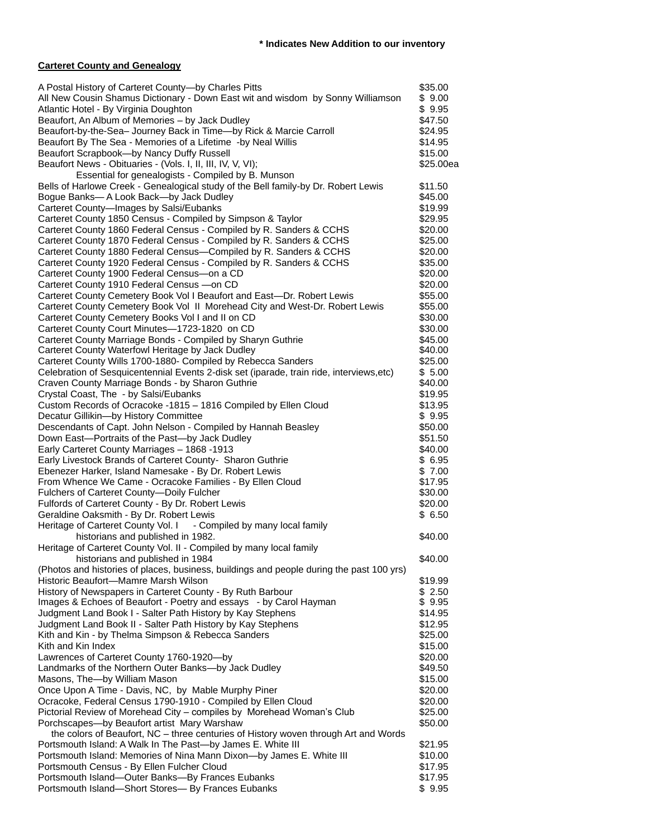#### **Carteret County and Genealogy**

| A Postal History of Carteret County-by Charles Pitts                                          | \$35.00   |
|-----------------------------------------------------------------------------------------------|-----------|
|                                                                                               |           |
| All New Cousin Shamus Dictionary - Down East wit and wisdom by Sonny Williamson               | \$9.00    |
| Atlantic Hotel - By Virginia Doughton                                                         | \$9.95    |
| Beaufort, An Album of Memories - by Jack Dudley                                               | \$47.50   |
| Beaufort-by-the-Sea- Journey Back in Time-by Rick & Marcie Carroll                            | \$24.95   |
| Beaufort By The Sea - Memories of a Lifetime -by Neal Willis                                  | \$14.95   |
| Beaufort Scrapbook-by Nancy Duffy Russell                                                     | \$15.00   |
| Beaufort News - Obituaries - (Vols. I, II, III, IV, V, VI);                                   | \$25.00ea |
| Essential for genealogists - Compiled by B. Munson                                            |           |
| Bells of Harlowe Creek - Genealogical study of the Bell family-by Dr. Robert Lewis            | \$11.50   |
| Bogue Banks-A Look Back-by Jack Dudley                                                        | \$45.00   |
| Carteret County-Images by Salsi/Eubanks                                                       | \$19.99   |
| Carteret County 1850 Census - Compiled by Simpson & Taylor                                    | \$29.95   |
| Carteret County 1860 Federal Census - Compiled by R. Sanders & CCHS                           | \$20.00   |
| Carteret County 1870 Federal Census - Compiled by R. Sanders & CCHS                           | \$25.00   |
| Carteret County 1880 Federal Census-Compiled by R. Sanders & CCHS                             | \$20.00   |
| Carteret County 1920 Federal Census - Compiled by R. Sanders & CCHS                           | \$35.00   |
| Carteret County 1900 Federal Census-on a CD                                                   | \$20.00   |
| Carteret County 1910 Federal Census -on CD                                                    | \$20.00   |
| Carteret County Cemetery Book Vol I Beaufort and East-Dr. Robert Lewis                        | \$55.00   |
| Carteret County Cemetery Book Vol II Morehead City and West-Dr. Robert Lewis                  | \$55.00   |
| Carteret County Cemetery Books Vol I and II on CD                                             | \$30.00   |
| Carteret County Court Minutes-1723-1820 on CD                                                 | \$30.00   |
| Carteret County Marriage Bonds - Compiled by Sharyn Guthrie                                   | \$45.00   |
| Carteret County Waterfowl Heritage by Jack Dudley                                             | \$40.00   |
| Carteret County Wills 1700-1880- Compiled by Rebecca Sanders                                  | \$25.00   |
| Celebration of Sesquicentennial Events 2-disk set (iparade, train ride, interviews, etc)      | \$5.00    |
| Craven County Marriage Bonds - by Sharon Guthrie                                              | \$40.00   |
| Crystal Coast, The - by Salsi/Eubanks                                                         | \$19.95   |
| Custom Records of Ocracoke -1815 - 1816 Compiled by Ellen Cloud                               | \$13.95   |
| Decatur Gillikin-by History Committee                                                         | \$9.95    |
| Descendants of Capt. John Nelson - Compiled by Hannah Beasley                                 | \$50.00   |
| Down East-Portraits of the Past-by Jack Dudley                                                | \$51.50   |
| Early Carteret County Marriages - 1868 - 1913                                                 | \$40.00   |
| Early Livestock Brands of Carteret County- Sharon Guthrie                                     | \$6.95    |
| Ebenezer Harker, Island Namesake - By Dr. Robert Lewis                                        | \$7.00    |
|                                                                                               | \$17.95   |
| From Whence We Came - Ocracoke Families - By Ellen Cloud                                      | \$30.00   |
| Fulchers of Carteret County-Doily Fulcher                                                     |           |
| Fulfords of Carteret County - By Dr. Robert Lewis<br>Geraldine Oaksmith - By Dr. Robert Lewis | \$20.00   |
|                                                                                               | \$6.50    |
| Heritage of Carteret County Vol. I - Compiled by many local family                            |           |
| historians and published in 1982.                                                             | \$40.00   |
| Heritage of Carteret County Vol. II - Compiled by many local family                           |           |
| historians and published in 1984                                                              | \$40.00   |
| (Photos and histories of places, business, buildings and people during the past 100 yrs)      |           |
| Historic Beaufort-Mamre Marsh Wilson                                                          | \$19.99   |
| History of Newspapers in Carteret County - By Ruth Barbour                                    | \$2.50    |
| Images & Echoes of Beaufort - Poetry and essays - by Carol Hayman                             | \$9.95    |
| Judgment Land Book I - Salter Path History by Kay Stephens                                    | \$14.95   |
| Judgment Land Book II - Salter Path History by Kay Stephens                                   | \$12.95   |
| Kith and Kin - by Thelma Simpson & Rebecca Sanders                                            | \$25.00   |
| Kith and Kin Index                                                                            | \$15.00   |
| Lawrences of Carteret County 1760-1920-by                                                     | \$20.00   |
| Landmarks of the Northern Outer Banks-by Jack Dudley                                          | \$49.50   |
| Masons, The-by William Mason                                                                  | \$15.00   |
| Once Upon A Time - Davis, NC, by Mable Murphy Piner                                           | \$20.00   |
| Ocracoke, Federal Census 1790-1910 - Compiled by Ellen Cloud                                  | \$20.00   |
| Pictorial Review of Morehead City - compiles by Morehead Woman's Club                         | \$25.00   |
| Porchscapes-by Beaufort artist Mary Warshaw                                                   | \$50.00   |
| the colors of Beaufort, NC - three centuries of History woven through Art and Words           |           |
| Portsmouth Island: A Walk In The Past-by James E. White III                                   | \$21.95   |
| Portsmouth Island: Memories of Nina Mann Dixon-by James E. White III                          | \$10.00   |
| Portsmouth Census - By Ellen Fulcher Cloud                                                    | \$17.95   |
| Portsmouth Island-Outer Banks-By Frances Eubanks                                              | \$17.95   |
| Portsmouth Island-Short Stores- By Frances Eubanks                                            | \$9.95    |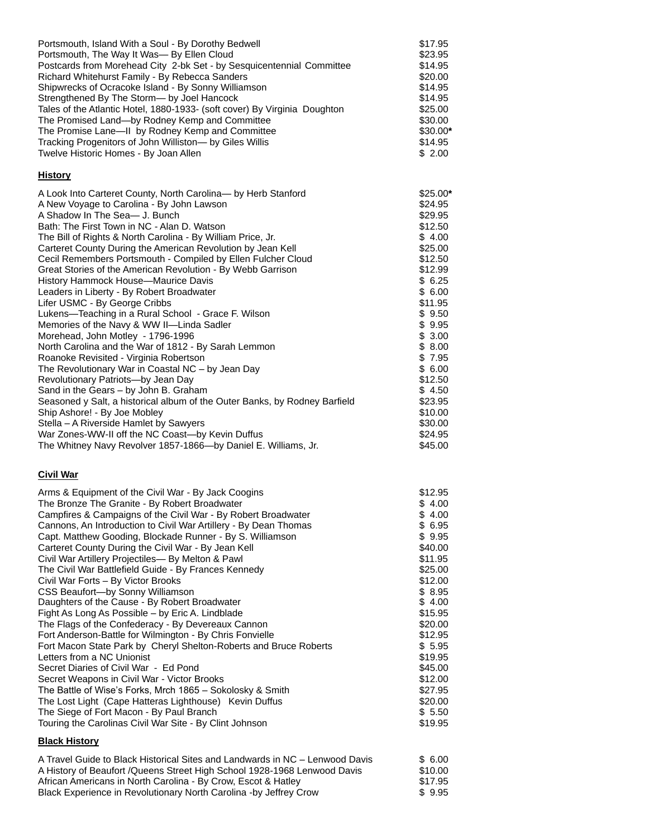| Portsmouth, Island With a Soul - By Dorothy Bedwell                       | \$17.95   |
|---------------------------------------------------------------------------|-----------|
| Portsmouth, The Way It Was-By Ellen Cloud                                 | \$23.95   |
| Postcards from Morehead City 2-bk Set - by Sesquicentennial Committee     | \$14.95   |
| Richard Whitehurst Family - By Rebecca Sanders                            | \$20.00   |
| Shipwrecks of Ocracoke Island - By Sonny Williamson                       | \$14.95   |
| Strengthened By The Storm- by Joel Hancock                                | \$14.95   |
| Tales of the Atlantic Hotel, 1880-1933- (soft cover) By Virginia Doughton | \$25.00   |
| The Promised Land-by Rodney Kemp and Committee                            | \$30.00   |
| The Promise Lane—II by Rodney Kemp and Committee                          | $$30.00*$ |
| Tracking Progenitors of John Williston— by Giles Willis                   | \$14.95   |
| Twelve Historic Homes - By Joan Allen                                     | \$2.00    |

## **History**

| A Look Into Carteret County, North Carolina- by Herb Stanford<br>A New Voyage to Carolina - By John Lawson<br>A Shadow In The Sea- J. Bunch<br>Bath: The First Town in NC - Alan D. Watson<br>The Bill of Rights & North Carolina - By William Price, Jr.<br>Carteret County During the American Revolution by Jean Kell<br>Cecil Remembers Portsmouth - Compiled by Ellen Fulcher Cloud<br>Great Stories of the American Revolution - By Webb Garrison<br>History Hammock House—Maurice Davis<br>Leaders in Liberty - By Robert Broadwater<br>Lifer USMC - By George Cribbs<br>Lukens—Teaching in a Rural School - Grace F. Wilson<br>Memories of the Navy & WW II-Linda Sadler<br>Morehead, John Motley - 1796-1996<br>North Carolina and the War of 1812 - By Sarah Lemmon<br>Roanoke Revisited - Virginia Robertson<br>The Revolutionary War in Coastal NC - by Jean Day<br>Revolutionary Patriots-by Jean Day<br>Sand in the Gears - by John B. Graham<br>Seasoned y Salt, a historical album of the Outer Banks, by Rodney Barfield<br>Ship Ashore! - By Joe Mobley<br>Stella - A Riverside Hamlet by Sawyers | $$25.00*$<br>\$24.95<br>\$29.95<br>\$12.50<br>\$4.00<br>\$25.00<br>\$12.50<br>\$12.99<br>\$6.25<br>\$6.00<br>\$11.95<br>\$9.50<br>\$9.95<br>\$3.00<br>\$8.00<br>\$7.95<br>\$6.00<br>\$12.50<br>\$4.50<br>\$23.95<br>\$10.00<br>\$30.00 |
|---------------------------------------------------------------------------------------------------------------------------------------------------------------------------------------------------------------------------------------------------------------------------------------------------------------------------------------------------------------------------------------------------------------------------------------------------------------------------------------------------------------------------------------------------------------------------------------------------------------------------------------------------------------------------------------------------------------------------------------------------------------------------------------------------------------------------------------------------------------------------------------------------------------------------------------------------------------------------------------------------------------------------------------------------------------------------------------------------------------------|----------------------------------------------------------------------------------------------------------------------------------------------------------------------------------------------------------------------------------------|
| War Zones-WW-II off the NC Coast-by Kevin Duffus                                                                                                                                                                                                                                                                                                                                                                                                                                                                                                                                                                                                                                                                                                                                                                                                                                                                                                                                                                                                                                                                    | \$24.95                                                                                                                                                                                                                                |
| The Whitney Navy Revolver 1857-1866-by Daniel E. Williams, Jr.                                                                                                                                                                                                                                                                                                                                                                                                                                                                                                                                                                                                                                                                                                                                                                                                                                                                                                                                                                                                                                                      | \$45.00                                                                                                                                                                                                                                |

# **Civil War**

| Arms & Equipment of the Civil War - By Jack Coogins<br>The Bronze The Granite - By Robert Broadwater                              | \$12.95<br>\$4.00 |
|-----------------------------------------------------------------------------------------------------------------------------------|-------------------|
| Campfires & Campaigns of the Civil War - By Robert Broadwater<br>Cannons, An Introduction to Civil War Artillery - By Dean Thomas | \$4.00<br>\$ 6.95 |
| Capt. Matthew Gooding, Blockade Runner - By S. Williamson                                                                         | \$9.95            |
| Carteret County During the Civil War - By Jean Kell                                                                               | \$40.00           |
| Civil War Artillery Projectiles- By Melton & Pawl                                                                                 | \$11.95           |
| The Civil War Battlefield Guide - By Frances Kennedy                                                                              | \$25.00           |
| Civil War Forts - By Victor Brooks                                                                                                | \$12.00           |
| CSS Beaufort-by Sonny Williamson                                                                                                  | \$8.95            |
| Daughters of the Cause - By Robert Broadwater                                                                                     | \$4.00            |
| Fight As Long As Possible – by Eric A. Lindblade                                                                                  | \$15.95           |
| The Flags of the Confederacy - By Devereaux Cannon                                                                                | \$20.00           |
| Fort Anderson-Battle for Wilmington - By Chris Fonvielle                                                                          | \$12.95           |
| Fort Macon State Park by Cheryl Shelton-Roberts and Bruce Roberts                                                                 | \$5.95            |
| Letters from a NC Unionist                                                                                                        | \$19.95           |
| Secret Diaries of Civil War - Ed Pond                                                                                             | \$45.00           |
| Secret Weapons in Civil War - Victor Brooks                                                                                       | \$12.00           |
| The Battle of Wise's Forks, Mrch 1865 - Sokolosky & Smith                                                                         | \$27.95           |
| The Lost Light (Cape Hatteras Lighthouse) Kevin Duffus                                                                            | \$20.00           |
| The Siege of Fort Macon - By Paul Branch                                                                                          | \$5.50            |
| Touring the Carolinas Civil War Site - By Clint Johnson                                                                           | \$19.95           |
| <b>Black History</b>                                                                                                              |                   |

| A Travel Guide to Black Historical Sites and Landwards in NC – Lenwood Davis | \$ 6.00 |
|------------------------------------------------------------------------------|---------|
| A History of Beaufort / Queens Street High School 1928-1968 Lenwood Davis    | \$10.00 |
| African Americans in North Carolina - By Crow, Escot & Hatley                | \$17.95 |
| Black Experience in Revolutionary North Carolina -by Jeffrey Crow            | \$9.95  |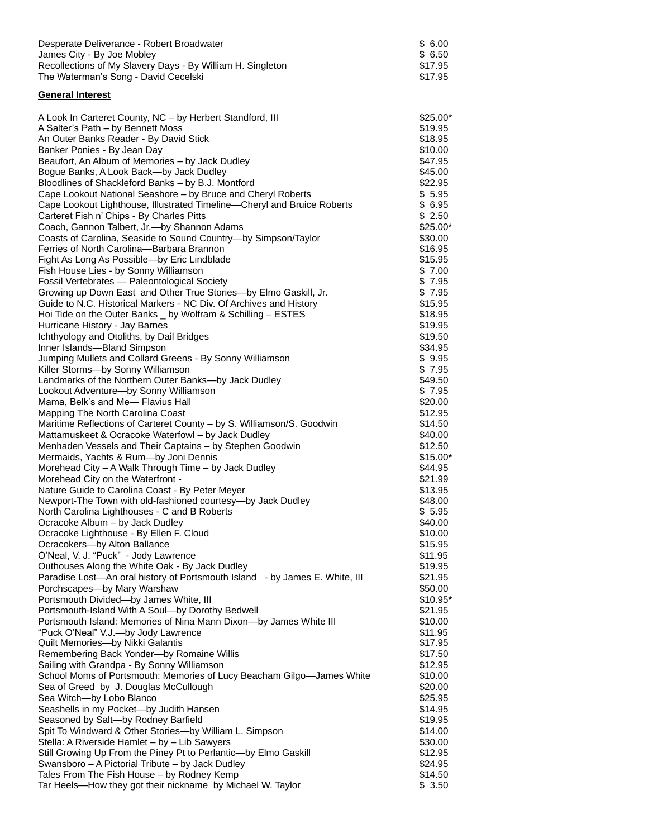| Desperate Deliverance - Robert Broadwater                  | \$ 6.00 |
|------------------------------------------------------------|---------|
| James City - By Joe Mobley                                 | \$ 6.50 |
| Recollections of My Slavery Days - By William H. Singleton | \$17.95 |
| The Waterman's Song - David Cecelski                       | \$17.95 |

### **General Interest**

| A Look In Carteret County, NC - by Herbert Standford, III                                                      | $$25.00*$          |
|----------------------------------------------------------------------------------------------------------------|--------------------|
| A Salter's Path - by Bennett Moss                                                                              | \$19.95            |
| An Outer Banks Reader - By David Stick                                                                         | \$18.95            |
| Banker Ponies - By Jean Day                                                                                    | \$10.00            |
| Beaufort, An Album of Memories - by Jack Dudley                                                                | \$47.95            |
| Bogue Banks, A Look Back-by Jack Dudley                                                                        | \$45.00            |
| Bloodlines of Shackleford Banks - by B.J. Montford                                                             | \$22.95            |
| Cape Lookout National Seashore – by Bruce and Cheryl Roberts                                                   | \$5.95             |
| Cape Lookout Lighthouse, Illustrated Timeline-Cheryl and Bruice Roberts                                        | \$6.95             |
| Carteret Fish n' Chips - By Charles Pitts                                                                      | \$2.50             |
| Coach, Gannon Talbert, Jr.-by Shannon Adams                                                                    | \$25.00*           |
| Coasts of Carolina, Seaside to Sound Country-by Simpson/Taylor                                                 | \$30.00            |
| Ferries of North Carolina-Barbara Brannon                                                                      | \$16.95            |
| Fight As Long As Possible-by Eric Lindblade                                                                    | \$15.95<br>\$7.00  |
| Fish House Lies - by Sonny Williamson<br>Fossil Vertebrates - Paleontological Society                          | \$7.95             |
| Growing up Down East and Other True Stories-by Elmo Gaskill, Jr.                                               | \$7.95             |
| Guide to N.C. Historical Markers - NC Div. Of Archives and History                                             | \$15.95            |
| Hoi Tide on the Outer Banks _ by Wolfram & Schilling - ESTES                                                   | \$18.95            |
| Hurricane History - Jay Barnes                                                                                 | \$19.95            |
| Ichthyology and Otoliths, by Dail Bridges                                                                      | \$19.50            |
| Inner Islands-Bland Simpson                                                                                    | \$34.95            |
| Jumping Mullets and Collard Greens - By Sonny Williamson                                                       | \$9.95             |
| Killer Storms-by Sonny Williamson                                                                              | \$7.95             |
| Landmarks of the Northern Outer Banks-by Jack Dudley                                                           | \$49.50            |
| Lookout Adventure-by Sonny Williamson                                                                          | \$7.95             |
| Mama, Belk's and Me- Flavius Hall                                                                              | \$20.00            |
| Mapping The North Carolina Coast                                                                               | \$12.95            |
| Maritime Reflections of Carteret County - by S. Williamson/S. Goodwin                                          | \$14.50            |
| Mattamuskeet & Ocracoke Waterfowl - by Jack Dudley                                                             | \$40.00            |
| Menhaden Vessels and Their Captains - by Stephen Goodwin                                                       | \$12.50            |
| Mermaids, Yachts & Rum-by Joni Dennis                                                                          | $$15.00*$          |
| Morehead City - A Walk Through Time - by Jack Dudley                                                           | \$44.95            |
| Morehead City on the Waterfront -                                                                              | \$21.99            |
| Nature Guide to Carolina Coast - By Peter Meyer<br>Newport-The Town with old-fashioned courtesy-by Jack Dudley | \$13.95<br>\$48.00 |
|                                                                                                                | \$5.95             |
| North Carolina Lighthouses - C and B Roberts<br>Ocracoke Album - by Jack Dudley                                | \$40.00            |
| Ocracoke Lighthouse - By Ellen F. Cloud                                                                        | \$10.00            |
| Ocracokers-by Alton Ballance                                                                                   | \$15.95            |
| O'Neal, V. J. "Puck" - Jody Lawrence                                                                           | \$11.95            |
| Outhouses Along the White Oak - By Jack Dudley                                                                 | \$19.95            |
| Paradise Lost-An oral history of Portsmouth Island - by James E. White, III                                    | \$21.95            |
| Porchscapes-by Mary Warshaw                                                                                    | \$50.00            |
| Portsmouth Divided-by James White, III                                                                         | \$10.95*           |
| Portsmouth-Island With A Soul-by Dorothy Bedwell                                                               | \$21.95            |
| Portsmouth Island: Memories of Nina Mann Dixon-by James White III                                              | \$10.00            |
| "Puck O'Neal" V.J.-by Jody Lawrence                                                                            | \$11.95            |
| Quilt Memories-by Nikki Galantis                                                                               | \$17.95            |
| Remembering Back Yonder-by Romaine Willis                                                                      | \$17.50            |
| Sailing with Grandpa - By Sonny Williamson                                                                     | \$12.95            |
| School Moms of Portsmouth: Memories of Lucy Beacham Gilgo-James White                                          | \$10.00            |
| Sea of Greed by J. Douglas McCullough                                                                          | \$20.00            |
| Sea Witch-by Lobo Blanco<br>Seashells in my Pocket-by Judith Hansen                                            | \$25.95<br>\$14.95 |
| Seasoned by Salt-by Rodney Barfield                                                                            | \$19.95            |
| Spit To Windward & Other Stories-by William L. Simpson                                                         | \$14.00            |
| Stella: A Riverside Hamlet - by - Lib Sawyers                                                                  | \$30.00            |
| Still Growing Up From the Piney Pt to Perlantic-by Elmo Gaskill                                                | \$12.95            |
| Swansboro - A Pictorial Tribute - by Jack Dudley                                                               | \$24.95            |
| Tales From The Fish House - by Rodney Kemp                                                                     | \$14.50            |
| Tar Heels-How they got their nickname by Michael W. Taylor                                                     | \$3.50             |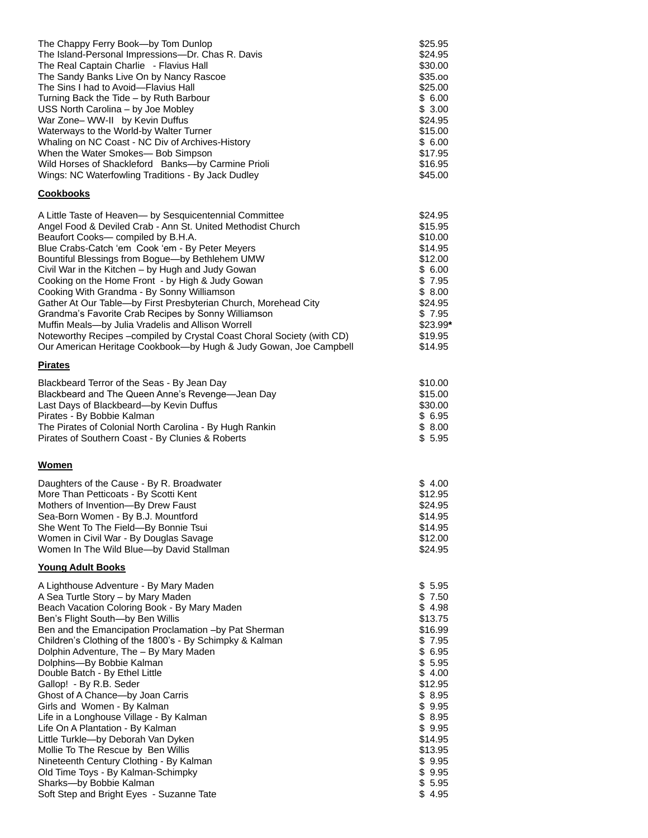| The Chappy Ferry Book--by Tom Dunlop                                  | \$25.95  |
|-----------------------------------------------------------------------|----------|
| The Island-Personal Impressions-Dr. Chas R. Davis                     | \$24.95  |
| The Real Captain Charlie - Flavius Hall                               | \$30.00  |
| The Sandy Banks Live On by Nancy Rascoe                               | \$35.00  |
| The Sins I had to Avoid-Flavius Hall                                  | \$25.00  |
| Turning Back the Tide - by Ruth Barbour                               | \$6.00   |
| USS North Carolina - by Joe Mobley                                    | \$3.00   |
| War Zone- WW-II by Kevin Duffus                                       | \$24.95  |
| Waterways to the World-by Walter Turner                               | \$15.00  |
| Whaling on NC Coast - NC Div of Archives-History                      | \$6.00   |
| When the Water Smokes- Bob Simpson                                    | \$17.95  |
| Wild Horses of Shackleford Banks-by Carmine Prioli                    | \$16.95  |
| Wings: NC Waterfowling Traditions - By Jack Dudley                    | \$45.00  |
| <b>Cookbooks</b>                                                      |          |
| A Little Taste of Heaven- by Sesquicentennial Committee               | \$24.95  |
| Angel Food & Deviled Crab - Ann St. United Methodist Church           | \$15.95  |
| Beaufort Cooks- compiled by B.H.A.                                    | \$10.00  |
| Blue Crabs-Catch 'em Cook 'em - By Peter Meyers                       | \$14.95  |
| Bountiful Blessings from Bogue-by Bethlehem UMW                       | \$12.00  |
| Civil War in the Kitchen - by Hugh and Judy Gowan                     | \$6.00   |
| Cooking on the Home Front - by High & Judy Gowan                      | \$7.95   |
| Cooking With Grandma - By Sonny Williamson                            | \$8.00   |
| Gather At Our Table-by First Presbyterian Church, Morehead City       | \$24.95  |
| Grandma's Favorite Crab Recipes by Sonny Williamson                   | \$7.95   |
| Muffin Meals-by Julia Vradelis and Allison Worrell                    | \$23.99* |
| Noteworthy Recipes-compiled by Crystal Coast Choral Society (with CD) | \$19.95  |
| Our American Heritage Cookbook-by Hugh & Judy Gowan, Joe Campbell     | \$14.95  |
| <b>Pirates</b>                                                        |          |
| Blackbeard Terror of the Seas - By Jean Day                           | \$10.00  |
| Blackbeard and The Queen Anne's Revenge-Jean Day                      | \$15.00  |
| Last Days of Blackbeard-by Kevin Duffus                               | \$30.00  |
| Pirates - By Bobbie Kalman                                            | \$6.95   |
| The Pirates of Colonial North Carolina - By Hugh Rankin               | \$8.00   |
| Pirates of Southern Coast - By Clunies & Roberts                      | \$5.95   |
| Women                                                                 |          |
| Daughters of the Cause - By R. Broadwater                             | \$4.00   |
| More Than Petticoats - By Scotti Kent                                 | \$12.95  |
| Mothers of Invention-By Drew Faust                                    | \$24.95  |
| Sea-Born Women - By B.J. Mountford                                    | \$14.95  |
| She Went To The Field-By Bonnie Tsui                                  | \$14.95  |
| Women in Civil War - By Douglas Savage                                | \$12.00  |
| Women In The Wild Blue-by David Stallman                              | \$24.95  |
| <b>Young Adult Books</b>                                              |          |
| A Lighthouse Adventure - By Mary Maden                                | \$5.95   |
| A Sea Turtle Story - by Mary Maden                                    | \$7.50   |
| Beach Vacation Coloring Book - By Mary Maden                          | \$4.98   |
| Ben's Flight South-by Ben Willis                                      | \$13.75  |
| Ben and the Emancipation Proclamation -by Pat Sherman                 | \$16.99  |
| Children's Clothing of the 1800's - By Schimpky & Kalman              | \$7.95   |
| Dolphin Adventure, The - By Mary Maden                                | \$6.95   |
| Dolphins-By Bobbie Kalman                                             | \$5.95   |
| Double Batch - By Ethel Little                                        | \$4.00   |
| Gallop! - By R.B. Seder                                               | \$12.95  |
| Ghost of A Chance-by Joan Carris                                      | \$8.95   |
| Girls and Women - By Kalman                                           | \$9.95   |
| Life in a Longhouse Village - By Kalman                               | \$8.95   |
| Life On A Plantation - By Kalman                                      | \$9.95   |
| Little Turkle-by Deborah Van Dyken                                    | \$14.95  |
| Mollie To The Rescue by Ben Willis                                    | \$13.95  |
| Nineteenth Century Clothing - By Kalman                               | \$9.95   |
| Old Time Toys - By Kalman-Schimpky                                    | \$9.95   |
| Sharks-by Bobbie Kalman                                               | \$5.95   |
| Soft Step and Bright Eyes - Suzanne Tate                              | \$4.95   |